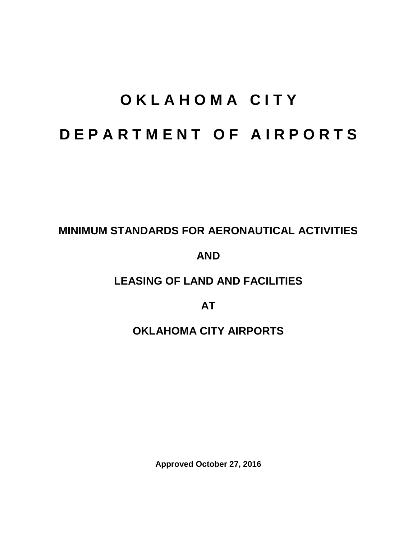# **O K L A H O M A C I T Y D E P A R T M E N T O F A I R P O R T S**

# **MINIMUM STANDARDS FOR AERONAUTICAL ACTIVITIES**

# **AND**

# **LEASING OF LAND AND FACILITIES**

**AT**

# **OKLAHOMA CITY AIRPORTS**

**Approved October 27, 2016**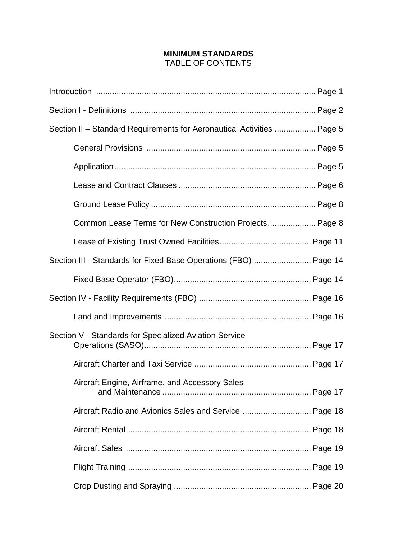#### **MINIMUM STANDARDS**  TABLE OF CONTENTS

| Section II – Standard Requirements for Aeronautical Activities  Page 5 |  |
|------------------------------------------------------------------------|--|
|                                                                        |  |
|                                                                        |  |
|                                                                        |  |
|                                                                        |  |
| Common Lease Terms for New Construction Projects Page 8                |  |
|                                                                        |  |
| Section III - Standards for Fixed Base Operations (FBO)  Page 14       |  |
|                                                                        |  |
|                                                                        |  |
|                                                                        |  |
| Section V - Standards for Specialized Aviation Service                 |  |
|                                                                        |  |
| Aircraft Engine, Airframe, and Accessory Sales                         |  |
| Aircraft Radio and Avionics Sales and Service  Page 18                 |  |
|                                                                        |  |
|                                                                        |  |
|                                                                        |  |
|                                                                        |  |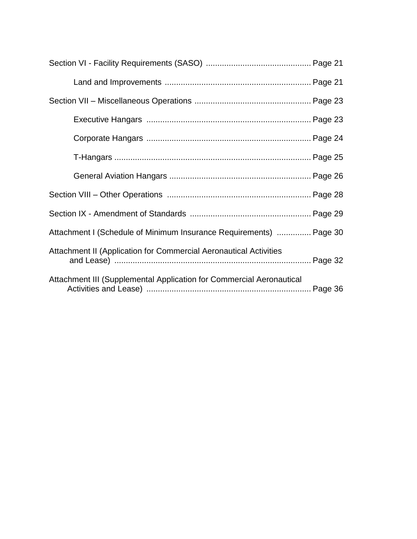| Attachment I (Schedule of Minimum Insurance Requirements)  Page 30   |  |
|----------------------------------------------------------------------|--|
| Attachment II (Application for Commercial Aeronautical Activities    |  |
| Attachment III (Supplemental Application for Commercial Aeronautical |  |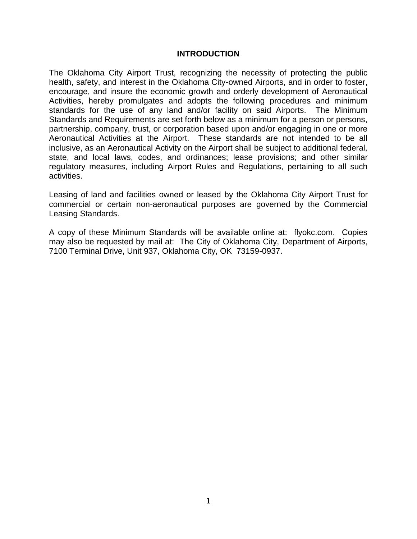#### **INTRODUCTION**

The Oklahoma City Airport Trust, recognizing the necessity of protecting the public health, safety, and interest in the Oklahoma City-owned Airports, and in order to foster, encourage, and insure the economic growth and orderly development of Aeronautical Activities, hereby promulgates and adopts the following procedures and minimum standards for the use of any land and/or facility on said Airports. The Minimum Standards and Requirements are set forth below as a minimum for a person or persons, partnership, company, trust, or corporation based upon and/or engaging in one or more Aeronautical Activities at the Airport. These standards are not intended to be all inclusive, as an Aeronautical Activity on the Airport shall be subject to additional federal, state, and local laws, codes, and ordinances; lease provisions; and other similar regulatory measures, including Airport Rules and Regulations, pertaining to all such activities.

Leasing of land and facilities owned or leased by the Oklahoma City Airport Trust for commercial or certain non-aeronautical purposes are governed by the Commercial Leasing Standards.

A copy of these Minimum Standards will be available online at: flyokc.com. Copies may also be requested by mail at: The City of Oklahoma City, Department of Airports, 7100 Terminal Drive, Unit 937, Oklahoma City, OK 73159-0937.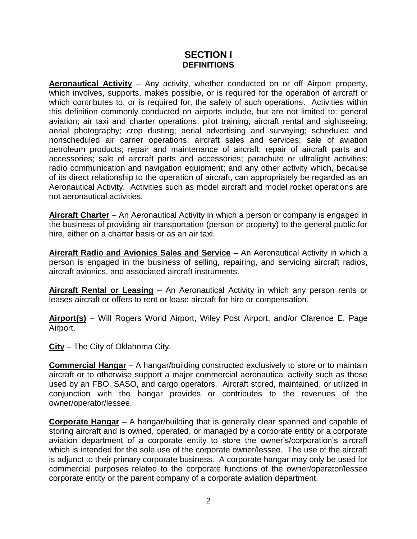### **SECTION I DEFINITIONS**

**Aeronautical Activity** – Any activity, whether conducted on or off Airport property, which involves, supports, makes possible, or is required for the operation of aircraft or which contributes to, or is required for, the safety of such operations. Activities within this definition commonly conducted on airports include, but are not limited to: general aviation; air taxi and charter operations; pilot training; aircraft rental and sightseeing; aerial photography; crop dusting; aerial advertising and surveying; scheduled and nonscheduled air carrier operations; aircraft sales and services; sale of aviation petroleum products; repair and maintenance of aircraft; repair of aircraft parts and accessories; sale of aircraft parts and accessories; parachute or ultralight activities; radio communication and navigation equipment; and any other activity which, because of its direct relationship to the operation of aircraft, can appropriately be regarded as an Aeronautical Activity. Activities such as model aircraft and model rocket operations are not aeronautical activities.

**Aircraft Charter** – An Aeronautical Activity in which a person or company is engaged in the business of providing air transportation (person or property) to the general public for hire, either on a charter basis or as an air taxi.

**Aircraft Radio and Avionics Sales and Service** – An Aeronautical Activity in which a person is engaged in the business of selling, repairing, and servicing aircraft radios, aircraft avionics, and associated aircraft instruments.

**Aircraft Rental or Leasing** – An Aeronautical Activity in which any person rents or leases aircraft or offers to rent or lease aircraft for hire or compensation.

**Airport(s)** – Will Rogers World Airport, Wiley Post Airport, and/or Clarence E. Page Airport.

**City** – The City of Oklahoma City.

**Commercial Hangar** – A hangar/building constructed exclusively to store or to maintain aircraft or to otherwise support a major commercial aeronautical activity such as those used by an FBO, SASO, and cargo operators. Aircraft stored, maintained, or utilized in conjunction with the hangar provides or contributes to the revenues of the owner/operator/lessee.

**Corporate Hangar** – A hangar/building that is generally clear spanned and capable of storing aircraft and is owned, operated, or managed by a corporate entity or a corporate aviation department of a corporate entity to store the owner's/corporation's aircraft which is intended for the sole use of the corporate owner/lessee. The use of the aircraft is adjunct to their primary corporate business. A corporate hangar may only be used for commercial purposes related to the corporate functions of the owner/operator/lessee corporate entity or the parent company of a corporate aviation department.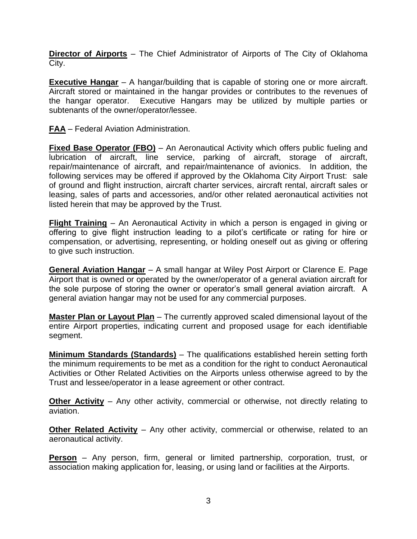**Director of Airports** – The Chief Administrator of Airports of The City of Oklahoma City.

**Executive Hangar** – A hangar/building that is capable of storing one or more aircraft. Aircraft stored or maintained in the hangar provides or contributes to the revenues of the hangar operator. Executive Hangars may be utilized by multiple parties or subtenants of the owner/operator/lessee.

**FAA** – Federal Aviation Administration.

**Fixed Base Operator (FBO)** – An Aeronautical Activity which offers public fueling and lubrication of aircraft, line service, parking of aircraft, storage of aircraft, repair/maintenance of aircraft, and repair/maintenance of avionics. In addition, the following services may be offered if approved by the Oklahoma City Airport Trust: sale of ground and flight instruction, aircraft charter services, aircraft rental, aircraft sales or leasing, sales of parts and accessories, and/or other related aeronautical activities not listed herein that may be approved by the Trust.

**Flight Training** – An Aeronautical Activity in which a person is engaged in giving or offering to give flight instruction leading to a pilot's certificate or rating for hire or compensation, or advertising, representing, or holding oneself out as giving or offering to give such instruction.

**General Aviation Hangar** – A small hangar at Wiley Post Airport or Clarence E. Page Airport that is owned or operated by the owner/operator of a general aviation aircraft for the sole purpose of storing the owner or operator's small general aviation aircraft. A general aviation hangar may not be used for any commercial purposes.

**Master Plan or Layout Plan** – The currently approved scaled dimensional layout of the entire Airport properties, indicating current and proposed usage for each identifiable segment.

**Minimum Standards (Standards)** – The qualifications established herein setting forth the minimum requirements to be met as a condition for the right to conduct Aeronautical Activities or Other Related Activities on the Airports unless otherwise agreed to by the Trust and lessee/operator in a lease agreement or other contract.

**Other Activity** – Any other activity, commercial or otherwise, not directly relating to aviation.

**Other Related Activity** – Any other activity, commercial or otherwise, related to an aeronautical activity.

**Person** – Any person, firm, general or limited partnership, corporation, trust, or association making application for, leasing, or using land or facilities at the Airports.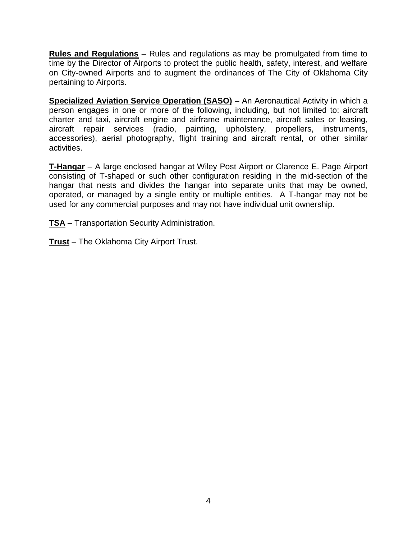**Rules and Regulations** – Rules and regulations as may be promulgated from time to time by the Director of Airports to protect the public health, safety, interest, and welfare on City-owned Airports and to augment the ordinances of The City of Oklahoma City pertaining to Airports.

**Specialized Aviation Service Operation (SASO)** – An Aeronautical Activity in which a person engages in one or more of the following, including, but not limited to: aircraft charter and taxi, aircraft engine and airframe maintenance, aircraft sales or leasing, aircraft repair services (radio, painting, upholstery, propellers, instruments, accessories), aerial photography, flight training and aircraft rental, or other similar activities.

**T-Hangar** – A large enclosed hangar at Wiley Post Airport or Clarence E. Page Airport consisting of T-shaped or such other configuration residing in the mid-section of the hangar that nests and divides the hangar into separate units that may be owned, operated, or managed by a single entity or multiple entities. A T-hangar may not be used for any commercial purposes and may not have individual unit ownership.

**TSA** – Transportation Security Administration.

**Trust** – The Oklahoma City Airport Trust.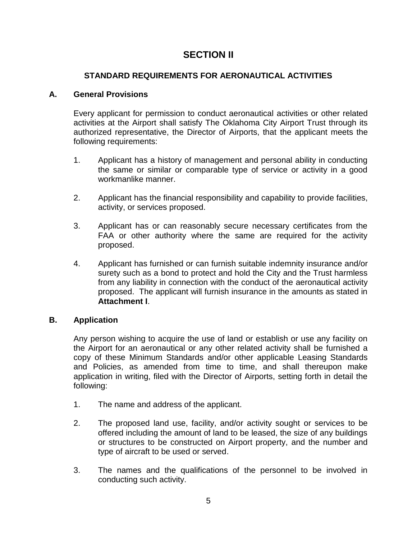# **SECTION II**

## **STANDARD REQUIREMENTS FOR AERONAUTICAL ACTIVITIES**

#### **A. General Provisions**

Every applicant for permission to conduct aeronautical activities or other related activities at the Airport shall satisfy The Oklahoma City Airport Trust through its authorized representative, the Director of Airports, that the applicant meets the following requirements:

- 1. Applicant has a history of management and personal ability in conducting the same or similar or comparable type of service or activity in a good workmanlike manner.
- 2. Applicant has the financial responsibility and capability to provide facilities, activity, or services proposed.
- 3. Applicant has or can reasonably secure necessary certificates from the FAA or other authority where the same are required for the activity proposed.
- 4. Applicant has furnished or can furnish suitable indemnity insurance and/or surety such as a bond to protect and hold the City and the Trust harmless from any liability in connection with the conduct of the aeronautical activity proposed. The applicant will furnish insurance in the amounts as stated in **Attachment I**.

#### **B. Application**

Any person wishing to acquire the use of land or establish or use any facility on the Airport for an aeronautical or any other related activity shall be furnished a copy of these Minimum Standards and/or other applicable Leasing Standards and Policies, as amended from time to time, and shall thereupon make application in writing, filed with the Director of Airports, setting forth in detail the following:

- 1. The name and address of the applicant.
- 2. The proposed land use, facility, and/or activity sought or services to be offered including the amount of land to be leased, the size of any buildings or structures to be constructed on Airport property, and the number and type of aircraft to be used or served.
- 3. The names and the qualifications of the personnel to be involved in conducting such activity.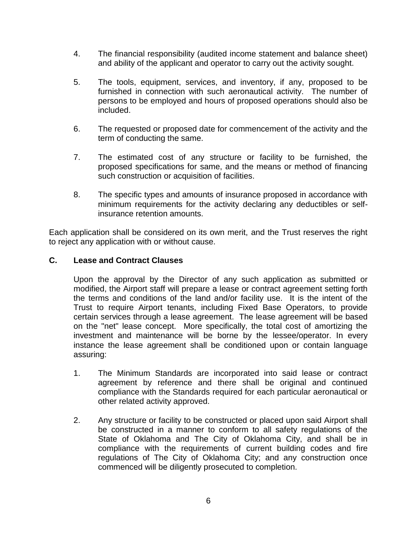- 4. The financial responsibility (audited income statement and balance sheet) and ability of the applicant and operator to carry out the activity sought.
- 5. The tools, equipment, services, and inventory, if any, proposed to be furnished in connection with such aeronautical activity. The number of persons to be employed and hours of proposed operations should also be included.
- 6. The requested or proposed date for commencement of the activity and the term of conducting the same.
- 7. The estimated cost of any structure or facility to be furnished, the proposed specifications for same, and the means or method of financing such construction or acquisition of facilities.
- 8. The specific types and amounts of insurance proposed in accordance with minimum requirements for the activity declaring any deductibles or selfinsurance retention amounts.

Each application shall be considered on its own merit, and the Trust reserves the right to reject any application with or without cause.

#### **C. Lease and Contract Clauses**

Upon the approval by the Director of any such application as submitted or modified, the Airport staff will prepare a lease or contract agreement setting forth the terms and conditions of the land and/or facility use. It is the intent of the Trust to require Airport tenants, including Fixed Base Operators, to provide certain services through a lease agreement. The lease agreement will be based on the "net" lease concept. More specifically, the total cost of amortizing the investment and maintenance will be borne by the lessee/operator. In every instance the lease agreement shall be conditioned upon or contain language assuring:

- 1. The Minimum Standards are incorporated into said lease or contract agreement by reference and there shall be original and continued compliance with the Standards required for each particular aeronautical or other related activity approved.
- 2. Any structure or facility to be constructed or placed upon said Airport shall be constructed in a manner to conform to all safety regulations of the State of Oklahoma and The City of Oklahoma City, and shall be in compliance with the requirements of current building codes and fire regulations of The City of Oklahoma City; and any construction once commenced will be diligently prosecuted to completion.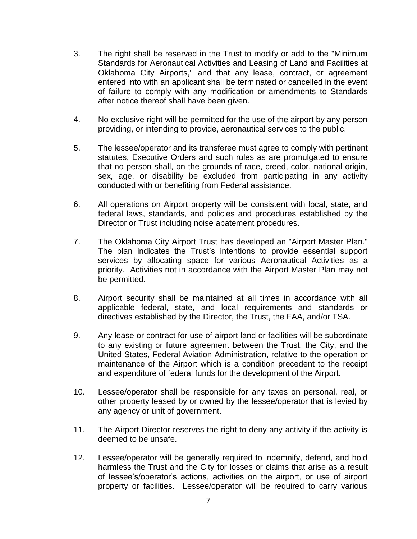- 3. The right shall be reserved in the Trust to modify or add to the "Minimum Standards for Aeronautical Activities and Leasing of Land and Facilities at Oklahoma City Airports," and that any lease, contract, or agreement entered into with an applicant shall be terminated or cancelled in the event of failure to comply with any modification or amendments to Standards after notice thereof shall have been given.
- 4. No exclusive right will be permitted for the use of the airport by any person providing, or intending to provide, aeronautical services to the public.
- 5. The lessee/operator and its transferee must agree to comply with pertinent statutes, Executive Orders and such rules as are promulgated to ensure that no person shall, on the grounds of race, creed, color, national origin, sex, age, or disability be excluded from participating in any activity conducted with or benefiting from Federal assistance.
- 6. All operations on Airport property will be consistent with local, state, and federal laws, standards, and policies and procedures established by the Director or Trust including noise abatement procedures.
- 7. The Oklahoma City Airport Trust has developed an "Airport Master Plan." The plan indicates the Trust's intentions to provide essential support services by allocating space for various Aeronautical Activities as a priority. Activities not in accordance with the Airport Master Plan may not be permitted.
- 8. Airport security shall be maintained at all times in accordance with all applicable federal, state, and local requirements and standards or directives established by the Director, the Trust, the FAA, and/or TSA.
- 9. Any lease or contract for use of airport land or facilities will be subordinate to any existing or future agreement between the Trust, the City, and the United States, Federal Aviation Administration, relative to the operation or maintenance of the Airport which is a condition precedent to the receipt and expenditure of federal funds for the development of the Airport.
- 10. Lessee/operator shall be responsible for any taxes on personal, real, or other property leased by or owned by the lessee/operator that is levied by any agency or unit of government.
- 11. The Airport Director reserves the right to deny any activity if the activity is deemed to be unsafe.
- 12. Lessee/operator will be generally required to indemnify, defend, and hold harmless the Trust and the City for losses or claims that arise as a result of lessee's/operator's actions, activities on the airport, or use of airport property or facilities. Lessee/operator will be required to carry various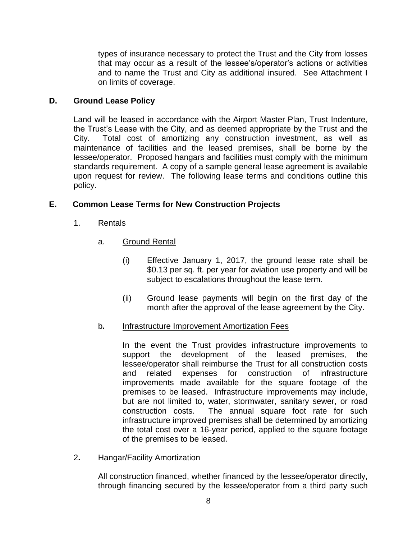types of insurance necessary to protect the Trust and the City from losses that may occur as a result of the lessee's/operator's actions or activities and to name the Trust and City as additional insured. See Attachment I on limits of coverage.

#### **D. Ground Lease Policy**

Land will be leased in accordance with the Airport Master Plan, Trust Indenture, the Trust's Lease with the City, and as deemed appropriate by the Trust and the City. Total cost of amortizing any construction investment, as well as maintenance of facilities and the leased premises, shall be borne by the lessee/operator. Proposed hangars and facilities must comply with the minimum standards requirement. A copy of a sample general lease agreement is available upon request for review. The following lease terms and conditions outline this policy.

#### **E. Common Lease Terms for New Construction Projects**

- 1. Rentals
	- a. Ground Rental
		- (i) Effective January 1, 2017, the ground lease rate shall be \$0.13 per sq. ft. per year for aviation use property and will be subject to escalations throughout the lease term.
		- (ii) Ground lease payments will begin on the first day of the month after the approval of the lease agreement by the City.

#### b**.** Infrastructure Improvement Amortization Fees

In the event the Trust provides infrastructure improvements to support the development of the leased premises, the lessee/operator shall reimburse the Trust for all construction costs and related expenses for construction of infrastructure improvements made available for the square footage of the premises to be leased. Infrastructure improvements may include, but are not limited to, water, stormwater, sanitary sewer, or road construction costs. The annual square foot rate for such infrastructure improved premises shall be determined by amortizing the total cost over a 16-year period, applied to the square footage of the premises to be leased.

2**.** Hangar/Facility Amortization

All construction financed, whether financed by the lessee/operator directly, through financing secured by the lessee/operator from a third party such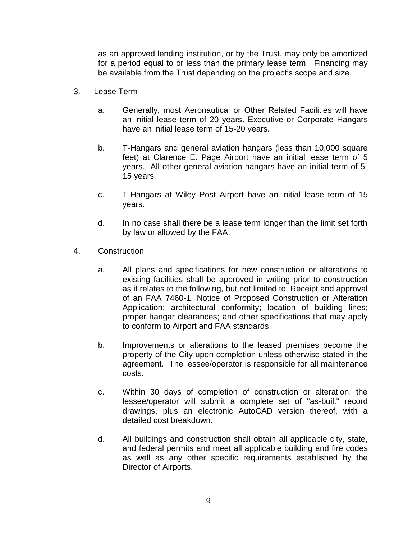as an approved lending institution, or by the Trust, may only be amortized for a period equal to or less than the primary lease term. Financing may be available from the Trust depending on the project's scope and size.

- 3. Lease Term
	- a. Generally, most Aeronautical or Other Related Facilities will have an initial lease term of 20 years. Executive or Corporate Hangars have an initial lease term of 15-20 years.
	- b. T-Hangars and general aviation hangars (less than 10,000 square feet) at Clarence E. Page Airport have an initial lease term of 5 years. All other general aviation hangars have an initial term of 5- 15 years.
	- c. T-Hangars at Wiley Post Airport have an initial lease term of 15 years.
	- d. In no case shall there be a lease term longer than the limit set forth by law or allowed by the FAA.
- 4. Construction
	- a. All plans and specifications for new construction or alterations to existing facilities shall be approved in writing prior to construction as it relates to the following, but not limited to: Receipt and approval of an FAA 7460-1, Notice of Proposed Construction or Alteration Application; architectural conformity; location of building lines; proper hangar clearances; and other specifications that may apply to conform to Airport and FAA standards.
	- b. Improvements or alterations to the leased premises become the property of the City upon completion unless otherwise stated in the agreement. The lessee/operator is responsible for all maintenance costs.
	- c. Within 30 days of completion of construction or alteration, the lessee/operator will submit a complete set of "as-built" record drawings, plus an electronic AutoCAD version thereof, with a detailed cost breakdown.
	- d. All buildings and construction shall obtain all applicable city, state, and federal permits and meet all applicable building and fire codes as well as any other specific requirements established by the Director of Airports.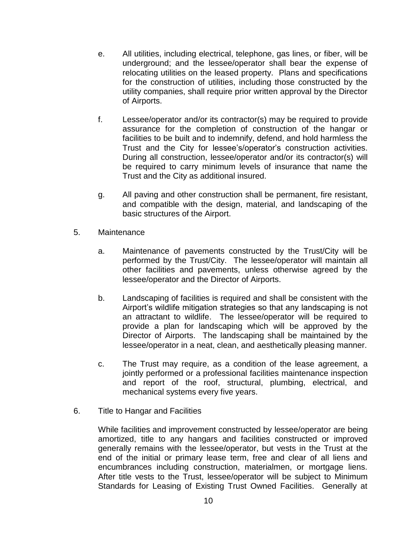- e. All utilities, including electrical, telephone, gas lines, or fiber, will be underground; and the lessee/operator shall bear the expense of relocating utilities on the leased property. Plans and specifications for the construction of utilities, including those constructed by the utility companies, shall require prior written approval by the Director of Airports.
- f. Lessee/operator and/or its contractor(s) may be required to provide assurance for the completion of construction of the hangar or facilities to be built and to indemnify, defend, and hold harmless the Trust and the City for lessee's/operator's construction activities. During all construction, lessee/operator and/or its contractor(s) will be required to carry minimum levels of insurance that name the Trust and the City as additional insured.
- g. All paving and other construction shall be permanent, fire resistant, and compatible with the design, material, and landscaping of the basic structures of the Airport.
- 5. Maintenance
	- a. Maintenance of pavements constructed by the Trust/City will be performed by the Trust/City. The lessee/operator will maintain all other facilities and pavements, unless otherwise agreed by the lessee/operator and the Director of Airports.
	- b. Landscaping of facilities is required and shall be consistent with the Airport's wildlife mitigation strategies so that any landscaping is not an attractant to wildlife. The lessee/operator will be required to provide a plan for landscaping which will be approved by the Director of Airports. The landscaping shall be maintained by the lessee/operator in a neat, clean, and aesthetically pleasing manner.
	- c. The Trust may require, as a condition of the lease agreement, a jointly performed or a professional facilities maintenance inspection and report of the roof, structural, plumbing, electrical, and mechanical systems every five years.
- 6. Title to Hangar and Facilities

While facilities and improvement constructed by lessee/operator are being amortized, title to any hangars and facilities constructed or improved generally remains with the lessee/operator, but vests in the Trust at the end of the initial or primary lease term, free and clear of all liens and encumbrances including construction, materialmen, or mortgage liens. After title vests to the Trust, lessee/operator will be subject to Minimum Standards for Leasing of Existing Trust Owned Facilities. Generally at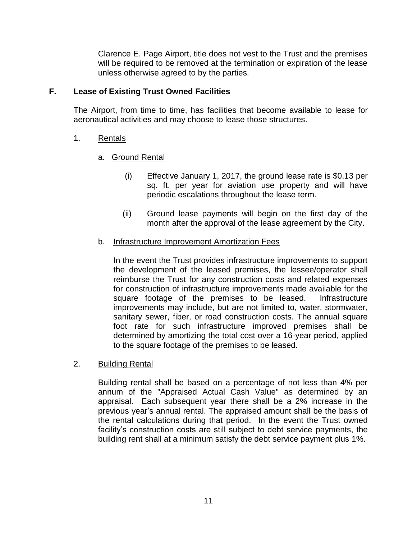Clarence E. Page Airport, title does not vest to the Trust and the premises will be required to be removed at the termination or expiration of the lease unless otherwise agreed to by the parties.

#### **F. Lease of Existing Trust Owned Facilities**

The Airport, from time to time, has facilities that become available to lease for aeronautical activities and may choose to lease those structures.

#### 1. Rentals

#### a.Ground Rental

- (i) Effective January 1, 2017, the ground lease rate is \$0.13 per sq. ft. per year for aviation use property and will have periodic escalations throughout the lease term.
- (ii) Ground lease payments will begin on the first day of the month after the approval of the lease agreement by the City.

#### b. Infrastructure Improvement Amortization Fees

In the event the Trust provides infrastructure improvements to support the development of the leased premises, the lessee/operator shall reimburse the Trust for any construction costs and related expenses for construction of infrastructure improvements made available for the square footage of the premises to be leased. Infrastructure improvements may include, but are not limited to, water, stormwater, sanitary sewer, fiber, or road construction costs. The annual square foot rate for such infrastructure improved premises shall be determined by amortizing the total cost over a 16-year period, applied to the square footage of the premises to be leased.

#### 2. Building Rental

Building rental shall be based on a percentage of not less than 4% per annum of the "Appraised Actual Cash Value" as determined by an appraisal. Each subsequent year there shall be a 2% increase in the previous year's annual rental. The appraised amount shall be the basis of the rental calculations during that period. In the event the Trust owned facility's construction costs are still subject to debt service payments, the building rent shall at a minimum satisfy the debt service payment plus 1%.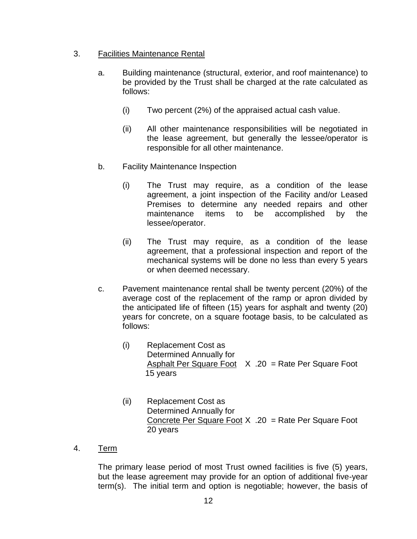#### 3. Facilities Maintenance Rental

- a. Building maintenance (structural, exterior, and roof maintenance) to be provided by the Trust shall be charged at the rate calculated as follows:
	- (i) Two percent (2%) of the appraised actual cash value.
	- (ii) All other maintenance responsibilities will be negotiated in the lease agreement, but generally the lessee/operator is responsible for all other maintenance.
- b. Facility Maintenance Inspection
	- (i) The Trust may require, as a condition of the lease agreement, a joint inspection of the Facility and/or Leased Premises to determine any needed repairs and other maintenance items to be accomplished by the lessee/operator.
	- (ii) The Trust may require, as a condition of the lease agreement, that a professional inspection and report of the mechanical systems will be done no less than every 5 years or when deemed necessary.
- c. Pavement maintenance rental shall be twenty percent (20%) of the average cost of the replacement of the ramp or apron divided by the anticipated life of fifteen (15) years for asphalt and twenty (20) years for concrete, on a square footage basis, to be calculated as follows:
	- (i) Replacement Cost as Determined Annually for Asphalt Per Square Foot  $X$  .20 = Rate Per Square Foot 15 years
	- (ii) Replacement Cost as Determined Annually for Concrete Per Square Foot X .20 = Rate Per Square Foot 20 years
- 4. Term

The primary lease period of most Trust owned facilities is five (5) years, but the lease agreement may provide for an option of additional five-year term(s). The initial term and option is negotiable; however, the basis of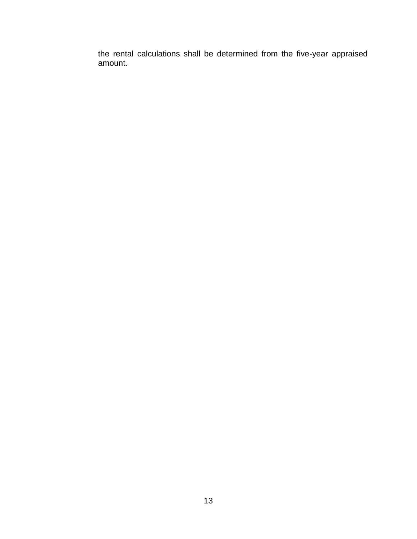the rental calculations shall be determined from the five-year appraised amount.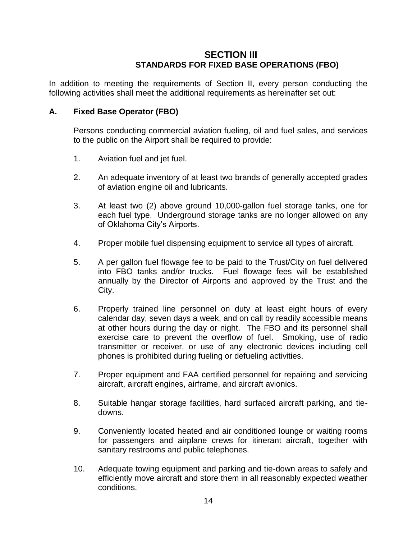## **SECTION III STANDARDS FOR FIXED BASE OPERATIONS (FBO)**

In addition to meeting the requirements of Section II, every person conducting the following activities shall meet the additional requirements as hereinafter set out:

#### **A. Fixed Base Operator (FBO)**

Persons conducting commercial aviation fueling, oil and fuel sales, and services to the public on the Airport shall be required to provide:

- 1. Aviation fuel and jet fuel.
- 2. An adequate inventory of at least two brands of generally accepted grades of aviation engine oil and lubricants.
- 3. At least two (2) above ground 10,000-gallon fuel storage tanks, one for each fuel type. Underground storage tanks are no longer allowed on any of Oklahoma City's Airports.
- 4. Proper mobile fuel dispensing equipment to service all types of aircraft.
- 5. A per gallon fuel flowage fee to be paid to the Trust/City on fuel delivered into FBO tanks and/or trucks. Fuel flowage fees will be established annually by the Director of Airports and approved by the Trust and the City.
- 6. Properly trained line personnel on duty at least eight hours of every calendar day, seven days a week, and on call by readily accessible means at other hours during the day or night. The FBO and its personnel shall exercise care to prevent the overflow of fuel. Smoking, use of radio transmitter or receiver, or use of any electronic devices including cell phones is prohibited during fueling or defueling activities.
- 7. Proper equipment and FAA certified personnel for repairing and servicing aircraft, aircraft engines, airframe, and aircraft avionics.
- 8. Suitable hangar storage facilities, hard surfaced aircraft parking, and tiedowns.
- 9. Conveniently located heated and air conditioned lounge or waiting rooms for passengers and airplane crews for itinerant aircraft, together with sanitary restrooms and public telephones.
- 10. Adequate towing equipment and parking and tie-down areas to safely and efficiently move aircraft and store them in all reasonably expected weather conditions.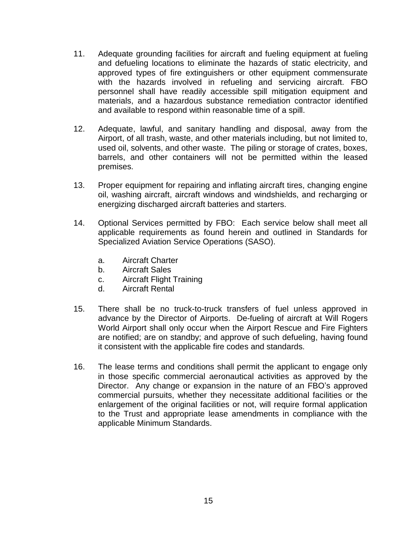- 11. Adequate grounding facilities for aircraft and fueling equipment at fueling and defueling locations to eliminate the hazards of static electricity, and approved types of fire extinguishers or other equipment commensurate with the hazards involved in refueling and servicing aircraft. FBO personnel shall have readily accessible spill mitigation equipment and materials, and a hazardous substance remediation contractor identified and available to respond within reasonable time of a spill.
- 12. Adequate, lawful, and sanitary handling and disposal, away from the Airport, of all trash, waste, and other materials including, but not limited to, used oil, solvents, and other waste. The piling or storage of crates, boxes, barrels, and other containers will not be permitted within the leased premises.
- 13. Proper equipment for repairing and inflating aircraft tires, changing engine oil, washing aircraft, aircraft windows and windshields, and recharging or energizing discharged aircraft batteries and starters.
- 14. Optional Services permitted by FBO: Each service below shall meet all applicable requirements as found herein and outlined in Standards for Specialized Aviation Service Operations (SASO).
	- a. Aircraft Charter
	- b. Aircraft Sales
	- c. Aircraft Flight Training
	- d. Aircraft Rental
- 15. There shall be no truck-to-truck transfers of fuel unless approved in advance by the Director of Airports. De-fueling of aircraft at Will Rogers World Airport shall only occur when the Airport Rescue and Fire Fighters are notified; are on standby; and approve of such defueling, having found it consistent with the applicable fire codes and standards.
- 16. The lease terms and conditions shall permit the applicant to engage only in those specific commercial aeronautical activities as approved by the Director. Any change or expansion in the nature of an FBO's approved commercial pursuits, whether they necessitate additional facilities or the enlargement of the original facilities or not, will require formal application to the Trust and appropriate lease amendments in compliance with the applicable Minimum Standards.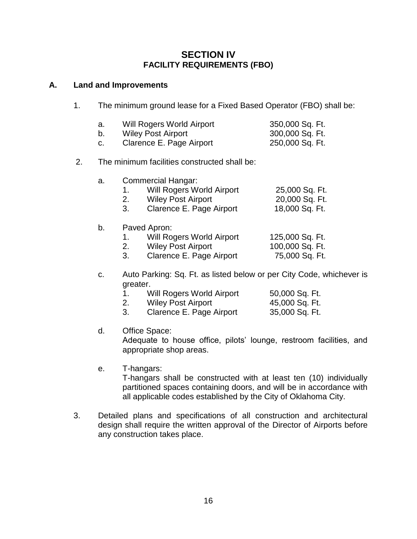## **SECTION IV FACILITY REQUIREMENTS (FBO)**

#### **A. Land and Improvements**

1. The minimum ground lease for a Fixed Based Operator (FBO) shall be:

| а. | Will Rogers World Airport | 350,000 Sq. Ft. |
|----|---------------------------|-----------------|
|    | <b>Wiley Post Airport</b> | 300,000 Sq. Ft. |
|    | Clarence E. Page Airport  | 250,000 Sq. Ft. |

#### 2. The minimum facilities constructed shall be:

| а. | Commercial Hangar:        |                |  |
|----|---------------------------|----------------|--|
|    | Will Rogers World Airport | 25,000 Sq. Ft. |  |
|    | <b>Wiley Post Airport</b> | 20,000 Sq. Ft. |  |
|    | Clarence E. Page Airport  | 18,000 Sq. Ft. |  |

#### b. Paved Apron:

| Will Rogers World Airport | 125,000 Sq. Ft. |
|---------------------------|-----------------|
| <b>Wiley Post Airport</b> | 100,000 Sq. Ft. |

- 3. Clarence E. Page Airport 75,000 Sq. Ft.
- c. Auto Parking: Sq. Ft. as listed below or per City Code, whichever is greater.

| $\overline{1}$ . | Will Rogers World Airport | 50,000 Sq. Ft. |
|------------------|---------------------------|----------------|
| 2.               | Wiley Post Airport        | 45,000 Sq. Ft. |
|                  | Classness E. Dage Airport | OF OOO CALLEY  |

3. Clarence E. Page Airport 35,000 Sq. Ft.

#### d. Office Space:

Adequate to house office, pilots' lounge, restroom facilities, and appropriate shop areas.

#### e. T-hangars:

T-hangars shall be constructed with at least ten (10) individually partitioned spaces containing doors, and will be in accordance with all applicable codes established by the City of Oklahoma City.

3. Detailed plans and specifications of all construction and architectural design shall require the written approval of the Director of Airports before any construction takes place.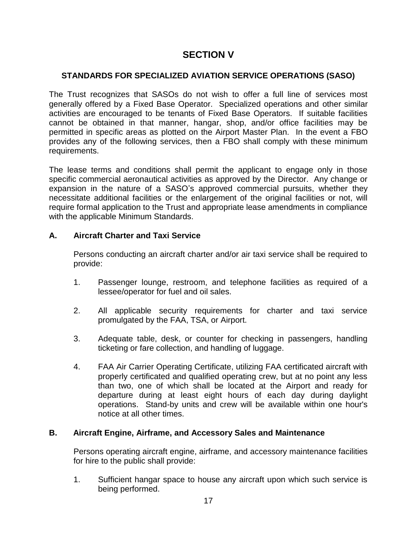## **SECTION V**

#### **STANDARDS FOR SPECIALIZED AVIATION SERVICE OPERATIONS (SASO)**

The Trust recognizes that SASOs do not wish to offer a full line of services most generally offered by a Fixed Base Operator. Specialized operations and other similar activities are encouraged to be tenants of Fixed Base Operators. If suitable facilities cannot be obtained in that manner, hangar, shop, and/or office facilities may be permitted in specific areas as plotted on the Airport Master Plan. In the event a FBO provides any of the following services, then a FBO shall comply with these minimum requirements.

The lease terms and conditions shall permit the applicant to engage only in those specific commercial aeronautical activities as approved by the Director. Any change or expansion in the nature of a SASO's approved commercial pursuits, whether they necessitate additional facilities or the enlargement of the original facilities or not, will require formal application to the Trust and appropriate lease amendments in compliance with the applicable Minimum Standards.

## **A. Aircraft Charter and Taxi Service**

Persons conducting an aircraft charter and/or air taxi service shall be required to provide:

- 1. Passenger lounge, restroom, and telephone facilities as required of a lessee/operator for fuel and oil sales.
- 2. All applicable security requirements for charter and taxi service promulgated by the FAA, TSA, or Airport.
- 3. Adequate table, desk, or counter for checking in passengers, handling ticketing or fare collection, and handling of luggage.
- 4. FAA Air Carrier Operating Certificate, utilizing FAA certificated aircraft with properly certificated and qualified operating crew, but at no point any less than two, one of which shall be located at the Airport and ready for departure during at least eight hours of each day during daylight operations. Stand-by units and crew will be available within one hour's notice at all other times.

#### **B. Aircraft Engine, Airframe, and Accessory Sales and Maintenance**

Persons operating aircraft engine, airframe, and accessory maintenance facilities for hire to the public shall provide:

1. Sufficient hangar space to house any aircraft upon which such service is being performed.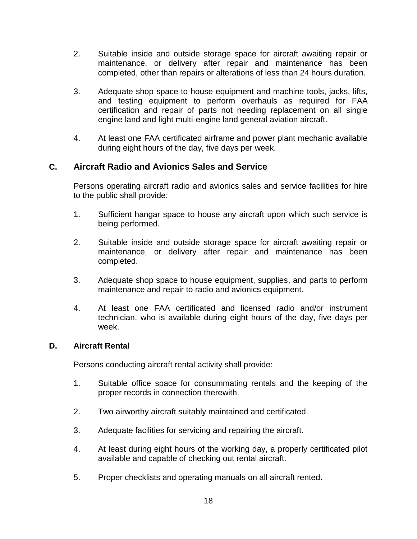- 2. Suitable inside and outside storage space for aircraft awaiting repair or maintenance, or delivery after repair and maintenance has been completed, other than repairs or alterations of less than 24 hours duration.
- 3. Adequate shop space to house equipment and machine tools, jacks, lifts, and testing equipment to perform overhauls as required for FAA certification and repair of parts not needing replacement on all single engine land and light multi-engine land general aviation aircraft.
- 4. At least one FAA certificated airframe and power plant mechanic available during eight hours of the day, five days per week.

## **C. Aircraft Radio and Avionics Sales and Service**

Persons operating aircraft radio and avionics sales and service facilities for hire to the public shall provide:

- 1. Sufficient hangar space to house any aircraft upon which such service is being performed.
- 2. Suitable inside and outside storage space for aircraft awaiting repair or maintenance, or delivery after repair and maintenance has been completed.
- 3. Adequate shop space to house equipment, supplies, and parts to perform maintenance and repair to radio and avionics equipment.
- 4. At least one FAA certificated and licensed radio and/or instrument technician, who is available during eight hours of the day, five days per week.

#### **D. Aircraft Rental**

Persons conducting aircraft rental activity shall provide:

- 1. Suitable office space for consummating rentals and the keeping of the proper records in connection therewith.
- 2. Two airworthy aircraft suitably maintained and certificated.
- 3. Adequate facilities for servicing and repairing the aircraft.
- 4. At least during eight hours of the working day, a properly certificated pilot available and capable of checking out rental aircraft.
- 5. Proper checklists and operating manuals on all aircraft rented.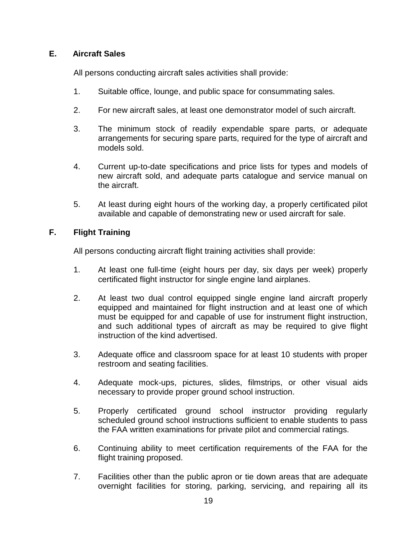#### **E. Aircraft Sales**

All persons conducting aircraft sales activities shall provide:

- 1. Suitable office, lounge, and public space for consummating sales.
- 2. For new aircraft sales, at least one demonstrator model of such aircraft.
- 3. The minimum stock of readily expendable spare parts, or adequate arrangements for securing spare parts, required for the type of aircraft and models sold.
- 4. Current up-to-date specifications and price lists for types and models of new aircraft sold, and adequate parts catalogue and service manual on the aircraft.
- 5. At least during eight hours of the working day, a properly certificated pilot available and capable of demonstrating new or used aircraft for sale.

#### **F. Flight Training**

All persons conducting aircraft flight training activities shall provide:

- 1. At least one full-time (eight hours per day, six days per week) properly certificated flight instructor for single engine land airplanes.
- 2. At least two dual control equipped single engine land aircraft properly equipped and maintained for flight instruction and at least one of which must be equipped for and capable of use for instrument flight instruction, and such additional types of aircraft as may be required to give flight instruction of the kind advertised.
- 3. Adequate office and classroom space for at least 10 students with proper restroom and seating facilities.
- 4. Adequate mock-ups, pictures, slides, filmstrips, or other visual aids necessary to provide proper ground school instruction.
- 5. Properly certificated ground school instructor providing regularly scheduled ground school instructions sufficient to enable students to pass the FAA written examinations for private pilot and commercial ratings.
- 6. Continuing ability to meet certification requirements of the FAA for the flight training proposed.
- 7. Facilities other than the public apron or tie down areas that are adequate overnight facilities for storing, parking, servicing, and repairing all its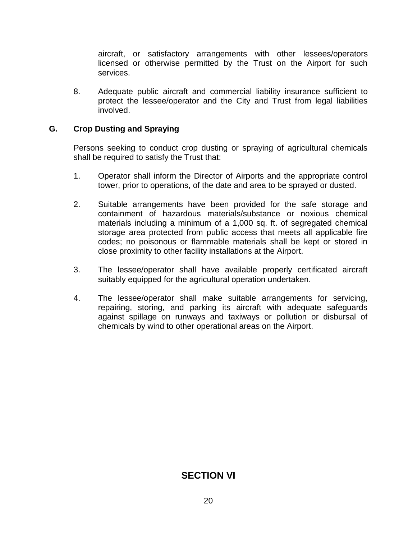aircraft, or satisfactory arrangements with other lessees/operators licensed or otherwise permitted by the Trust on the Airport for such services.

8. Adequate public aircraft and commercial liability insurance sufficient to protect the lessee/operator and the City and Trust from legal liabilities involved.

#### **G. Crop Dusting and Spraying**

Persons seeking to conduct crop dusting or spraying of agricultural chemicals shall be required to satisfy the Trust that:

- 1. Operator shall inform the Director of Airports and the appropriate control tower, prior to operations, of the date and area to be sprayed or dusted.
- 2. Suitable arrangements have been provided for the safe storage and containment of hazardous materials/substance or noxious chemical materials including a minimum of a 1,000 sq. ft. of segregated chemical storage area protected from public access that meets all applicable fire codes; no poisonous or flammable materials shall be kept or stored in close proximity to other facility installations at the Airport.
- 3. The lessee/operator shall have available properly certificated aircraft suitably equipped for the agricultural operation undertaken.
- 4. The lessee/operator shall make suitable arrangements for servicing, repairing, storing, and parking its aircraft with adequate safeguards against spillage on runways and taxiways or pollution or disbursal of chemicals by wind to other operational areas on the Airport.

# **SECTION VI**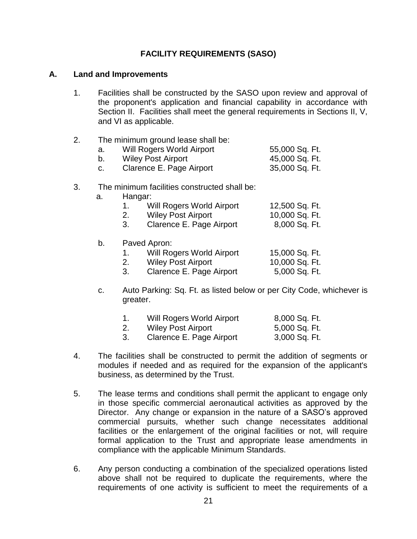#### **FACILITY REQUIREMENTS (SASO)**

#### **A. Land and Improvements**

1. Facilities shall be constructed by the SASO upon review and approval of the proponent's application and financial capability in accordance with Section II. Facilities shall meet the general requirements in Sections II, V, and VI as applicable.

#### 2. The minimum ground lease shall be:

| а. | Will Rogers World Airport | 55,000 Sq. Ft. |
|----|---------------------------|----------------|
|    | <b>Wiley Post Airport</b> | 45,000 Sq. Ft. |
|    | Clarence E. Page Airport  | 35,000 Sq. Ft. |

#### 3. The minimum facilities constructed shall be:

a. Hangar:

|      | Will Rogers World Airport | 12,500 Sq. Ft. |
|------|---------------------------|----------------|
|      | Wiley Post Airport        | 10,000 Sq. Ft. |
| - 3. | Clarence E. Page Airport  | 8,000 Sq. Ft.  |

b. Paved Apron:

| Will Rogers World Airport | 15,000 Sq. Ft. |
|---------------------------|----------------|
| Wiley Post Airport        | 10,000 Sq. Ft. |
| Clarence E. Page Airport  | 5,000 Sq. Ft.  |

c. Auto Parking: Sq. Ft. as listed below or per City Code, whichever is greater.

|               | <b>Will Rogers World Airport</b> | 8,000 Sq. Ft. |
|---------------|----------------------------------|---------------|
| <sup>2.</sup> | <b>Wiley Post Airport</b>        | 5,000 Sq. Ft. |
| -3.           | Clarence E. Page Airport         | 3,000 Sq. Ft. |

- 4. The facilities shall be constructed to permit the addition of segments or modules if needed and as required for the expansion of the applicant's business, as determined by the Trust.
- 5. The lease terms and conditions shall permit the applicant to engage only in those specific commercial aeronautical activities as approved by the Director. Any change or expansion in the nature of a SASO's approved commercial pursuits, whether such change necessitates additional facilities or the enlargement of the original facilities or not, will require formal application to the Trust and appropriate lease amendments in compliance with the applicable Minimum Standards.
- 6. Any person conducting a combination of the specialized operations listed above shall not be required to duplicate the requirements, where the requirements of one activity is sufficient to meet the requirements of a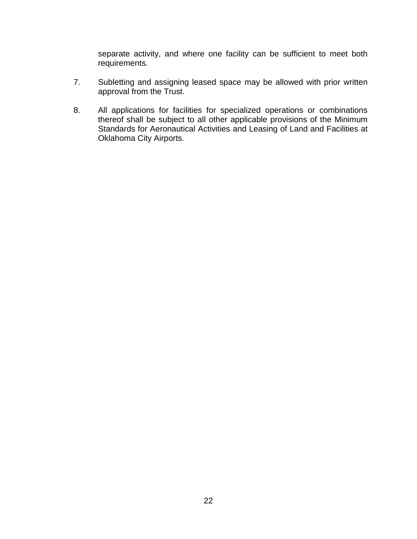separate activity, and where one facility can be sufficient to meet both requirements.

- 7. Subletting and assigning leased space may be allowed with prior written approval from the Trust.
- 8. All applications for facilities for specialized operations or combinations thereof shall be subject to all other applicable provisions of the Minimum Standards for Aeronautical Activities and Leasing of Land and Facilities at Oklahoma City Airports.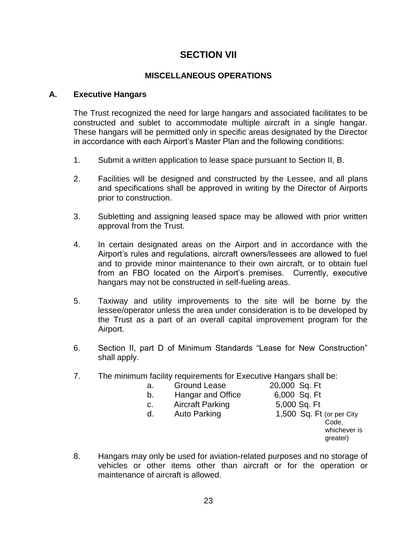## **SECTION VII**

#### **MISCELLANEOUS OPERATIONS**

#### **A. Executive Hangars**

The Trust recognized the need for large hangars and associated facilitates to be constructed and sublet to accommodate multiple aircraft in a single hangar. These hangars will be permitted only in specific areas designated by the Director in accordance with each Airport's Master Plan and the following conditions:

- 1. Submit a written application to lease space pursuant to Section II, B.
- 2. Facilities will be designed and constructed by the Lessee, and all plans and specifications shall be approved in writing by the Director of Airports prior to construction.
- 3. Subletting and assigning leased space may be allowed with prior written approval from the Trust.
- 4. In certain designated areas on the Airport and in accordance with the Airport's rules and regulations, aircraft owners/lessees are allowed to fuel and to provide minor maintenance to their own aircraft, or to obtain fuel from an FBO located on the Airport's premises. Currently, executive hangars may not be constructed in self-fueling areas.
- 5. Taxiway and utility improvements to the site will be borne by the lessee/operator unless the area under consideration is to be developed by the Trust as a part of an overall capital improvement program for the Airport.
- 6. Section II, part D of Minimum Standards "Lease for New Construction" shall apply.

Sq. Ft Sq. Ft

> Code, whichever is greater)

7. The minimum facility requirements for Executive Hangars shall be:

| a. | Ground Lease            | 20,000 Sq. Ft                                                  |
|----|-------------------------|----------------------------------------------------------------|
| b. | Hangar and Office       | 6,000 Sq. Ft                                                   |
| C. | <b>Aircraft Parking</b> | 5,000 Sq. Ft                                                   |
| d. | <b>Auto Parking</b>     | 1,500 Sq. Ft (or per City<br>Code.<br>whichever is<br>greater) |
|    |                         | are any the used for aviotion-related purposes and no storage  |

8. Hangars may only be used for aviation-related purposes and no storage of vehicles or other items other than aircraft or for the operation or maintenance of aircraft is allowed.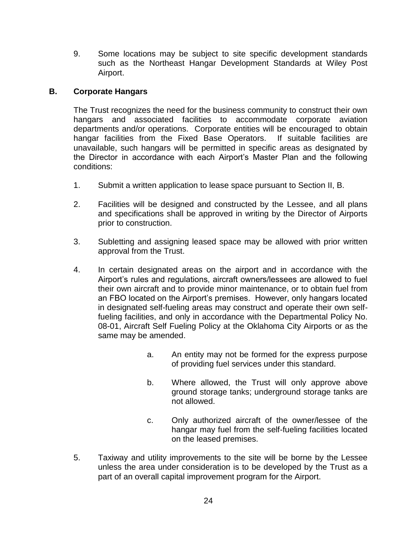9. Some locations may be subject to site specific development standards such as the Northeast Hangar Development Standards at Wiley Post Airport.

#### **B. Corporate Hangars**

 The Trust recognizes the need for the business community to construct their own hangars and associated facilities to accommodate corporate aviation departments and/or operations. Corporate entities will be encouraged to obtain hangar facilities from the Fixed Base Operators. If suitable facilities are unavailable, such hangars will be permitted in specific areas as designated by the Director in accordance with each Airport's Master Plan and the following conditions:

- 1. Submit a written application to lease space pursuant to Section II, B.
- 2. Facilities will be designed and constructed by the Lessee, and all plans and specifications shall be approved in writing by the Director of Airports prior to construction.
- 3. Subletting and assigning leased space may be allowed with prior written approval from the Trust.
- 4. In certain designated areas on the airport and in accordance with the Airport's rules and regulations, aircraft owners/lessees are allowed to fuel their own aircraft and to provide minor maintenance, or to obtain fuel from an FBO located on the Airport's premises. However, only hangars located in designated self-fueling areas may construct and operate their own selffueling facilities, and only in accordance with the Departmental Policy No. 08-01, Aircraft Self Fueling Policy at the Oklahoma City Airports or as the same may be amended.
	- a. An entity may not be formed for the express purpose of providing fuel services under this standard.
	- b. Where allowed, the Trust will only approve above ground storage tanks; underground storage tanks are not allowed.
	- c. Only authorized aircraft of the owner/lessee of the hangar may fuel from the self-fueling facilities located on the leased premises.
- 5. Taxiway and utility improvements to the site will be borne by the Lessee unless the area under consideration is to be developed by the Trust as a part of an overall capital improvement program for the Airport.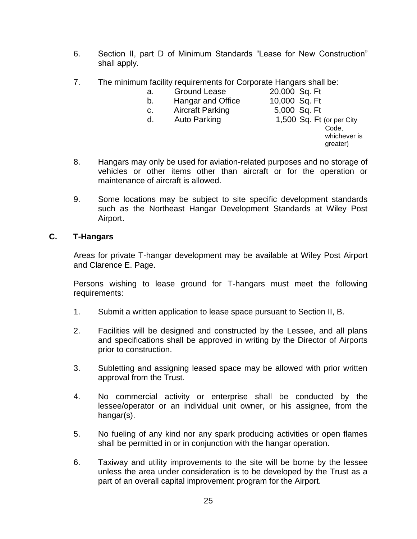- 6. Section II, part D of Minimum Standards "Lease for New Construction" shall apply.
- 7. The minimum facility requirements for Corporate Hangars shall be:
	-
	- a. Ground Lease 20,000 Sq. Ft<br>b. Hangar and Office 10,000 Sq. Ft b. Hangar and Office
		-
	- c. Aircraft Parking 5,000 Sq. Ft
- - d. Auto Parking 1,500 Sq. Ft (or per City
- -
- Code, whichever is greater)
- 8. Hangars may only be used for aviation-related purposes and no storage of vehicles or other items other than aircraft or for the operation or maintenance of aircraft is allowed.
- 9. Some locations may be subject to site specific development standards such as the Northeast Hangar Development Standards at Wiley Post Airport.

#### **C. T-Hangars**

Areas for private T-hangar development may be available at Wiley Post Airport and Clarence E. Page.

Persons wishing to lease ground for T-hangars must meet the following requirements:

- 1. Submit a written application to lease space pursuant to Section II, B.
- 2. Facilities will be designed and constructed by the Lessee, and all plans and specifications shall be approved in writing by the Director of Airports prior to construction.
- 3. Subletting and assigning leased space may be allowed with prior written approval from the Trust.
- 4. No commercial activity or enterprise shall be conducted by the lessee/operator or an individual unit owner, or his assignee, from the hangar(s).
- 5. No fueling of any kind nor any spark producing activities or open flames shall be permitted in or in conjunction with the hangar operation.
- 6. Taxiway and utility improvements to the site will be borne by the lessee unless the area under consideration is to be developed by the Trust as a part of an overall capital improvement program for the Airport.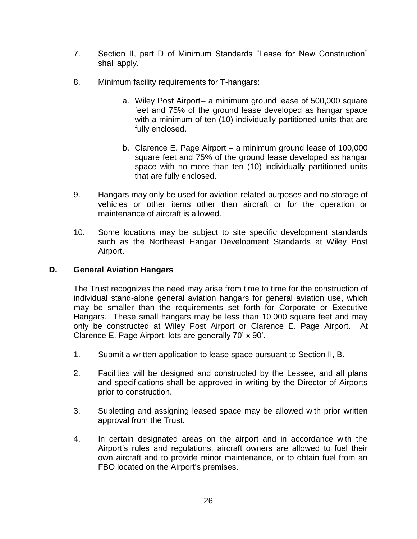- 7. Section II, part D of Minimum Standards "Lease for New Construction" shall apply.
- 8. Minimum facility requirements for T-hangars:
	- a. Wiley Post Airport-- a minimum ground lease of 500,000 square feet and 75% of the ground lease developed as hangar space with a minimum of ten (10) individually partitioned units that are fully enclosed.
	- b. Clarence E. Page Airport a minimum ground lease of 100,000 square feet and 75% of the ground lease developed as hangar space with no more than ten (10) individually partitioned units that are fully enclosed.
- 9. Hangars may only be used for aviation-related purposes and no storage of vehicles or other items other than aircraft or for the operation or maintenance of aircraft is allowed.
- 10. Some locations may be subject to site specific development standards such as the Northeast Hangar Development Standards at Wiley Post Airport.

#### **D. General Aviation Hangars**

The Trust recognizes the need may arise from time to time for the construction of individual stand-alone general aviation hangars for general aviation use, which may be smaller than the requirements set forth for Corporate or Executive Hangars. These small hangars may be less than 10,000 square feet and may only be constructed at Wiley Post Airport or Clarence E. Page Airport. At Clarence E. Page Airport, lots are generally 70' x 90'.

- 1. Submit a written application to lease space pursuant to Section II, B.
- 2. Facilities will be designed and constructed by the Lessee, and all plans and specifications shall be approved in writing by the Director of Airports prior to construction.
- 3. Subletting and assigning leased space may be allowed with prior written approval from the Trust.
- 4. In certain designated areas on the airport and in accordance with the Airport's rules and regulations, aircraft owners are allowed to fuel their own aircraft and to provide minor maintenance, or to obtain fuel from an FBO located on the Airport's premises.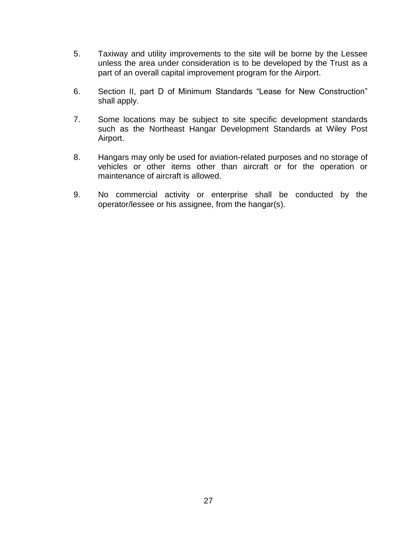- 5. Taxiway and utility improvements to the site will be borne by the Lessee unless the area under consideration is to be developed by the Trust as a part of an overall capital improvement program for the Airport.
- 6. Section II, part D of Minimum Standards "Lease for New Construction" shall apply.
- 7. Some locations may be subject to site specific development standards such as the Northeast Hangar Development Standards at Wiley Post Airport.
- 8. Hangars may only be used for aviation-related purposes and no storage of vehicles or other items other than aircraft or for the operation or maintenance of aircraft is allowed.
- 9. No commercial activity or enterprise shall be conducted by the operator/lessee or his assignee, from the hangar(s).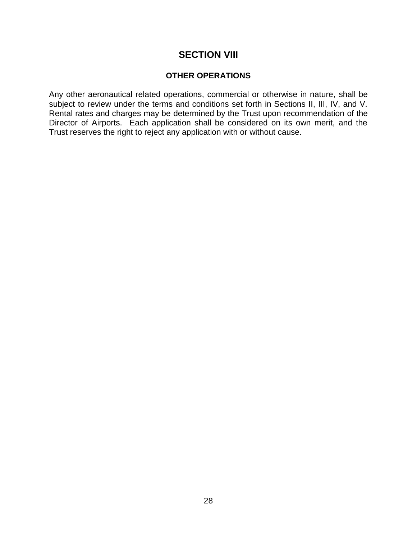## **SECTION VIII**

#### **OTHER OPERATIONS**

Any other aeronautical related operations, commercial or otherwise in nature, shall be subject to review under the terms and conditions set forth in Sections II, III, IV, and V. Rental rates and charges may be determined by the Trust upon recommendation of the Director of Airports. Each application shall be considered on its own merit, and the Trust reserves the right to reject any application with or without cause.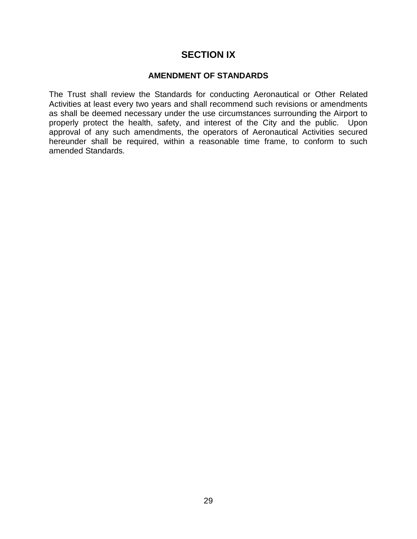## **SECTION IX**

#### **AMENDMENT OF STANDARDS**

The Trust shall review the Standards for conducting Aeronautical or Other Related Activities at least every two years and shall recommend such revisions or amendments as shall be deemed necessary under the use circumstances surrounding the Airport to properly protect the health, safety, and interest of the City and the public. Upon approval of any such amendments, the operators of Aeronautical Activities secured hereunder shall be required, within a reasonable time frame, to conform to such amended Standards.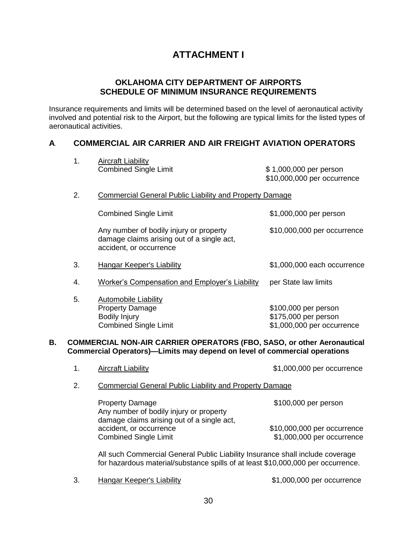# **ATTACHMENT I**

#### **OKLAHOMA CITY DEPARTMENT OF AIRPORTS SCHEDULE OF MINIMUM INSURANCE REQUIREMENTS**

Insurance requirements and limits will be determined based on the level of aeronautical activity involved and potential risk to the Airport, but the following are typical limits for the listed types of aeronautical activities.

#### **A**. **COMMERCIAL AIR CARRIER AND AIR FREIGHT AVIATION OPERATORS**

|    | 1. | <b>Aircraft Liability</b>                                                                                                                                         |                                                                            |
|----|----|-------------------------------------------------------------------------------------------------------------------------------------------------------------------|----------------------------------------------------------------------------|
|    |    | <b>Combined Single Limit</b>                                                                                                                                      | \$1,000,000 per person<br>\$10,000,000 per occurrence                      |
|    | 2. | <b>Commercial General Public Liability and Property Damage</b>                                                                                                    |                                                                            |
|    |    | <b>Combined Single Limit</b>                                                                                                                                      | \$1,000,000 per person                                                     |
|    |    | Any number of bodily injury or property<br>damage claims arising out of a single act,<br>accident, or occurrence                                                  | \$10,000,000 per occurrence                                                |
|    | 3. | <b>Hangar Keeper's Liability</b>                                                                                                                                  | \$1,000,000 each occurrence                                                |
|    | 4. | <b>Worker's Compensation and Employer's Liability</b>                                                                                                             | per State law limits                                                       |
|    | 5. | <b>Automobile Liability</b><br><b>Property Damage</b><br><b>Bodily Injury</b><br><b>Combined Single Limit</b>                                                     | \$100,000 per person<br>\$175,000 per person<br>\$1,000,000 per occurrence |
| В. |    | COMMERCIAL NON-AIR CARRIER OPERATORS (FBO, SASO, or other Aeronautical<br>Commercial Operators)-Limits may depend on level of commercial operations               |                                                                            |
|    | 1. | <b>Aircraft Liability</b>                                                                                                                                         | \$1,000,000 per occurrence                                                 |
|    | 2. | <b>Commercial General Public Liability and Property Damage</b>                                                                                                    |                                                                            |
|    |    | <b>Property Damage</b><br>Any number of bodily injury or property<br>damage claims arising out of a single act,                                                   | \$100,000 per person                                                       |
|    |    | accident, or occurrence<br><b>Combined Single Limit</b>                                                                                                           | \$10,000,000 per occurrence<br>\$1,000,000 per occurrence                  |
|    |    | All such Commercial General Public Liability Insurance shall include coverage<br>for hazardous material/substance spills of at least \$10,000,000 per occurrence. |                                                                            |
|    | 3. | Hangar Keeper's Liability                                                                                                                                         | \$1,000,000 per occurrence                                                 |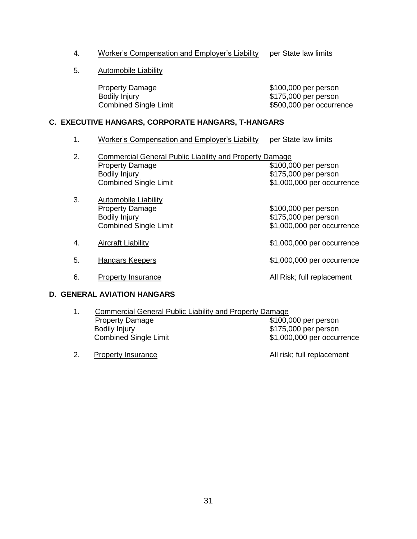- 4. Worker's Compensation and Employer's Liability per State law limits
- 5. Automobile Liability

Property Damage<br>
Bodily Injury<br>
Bodily Injury<br>
Bodily Injury

 $$175,000$  per person Combined Single Limit  $$500,000$  per occurrence

#### **C. EXECUTIVE HANGARS, CORPORATE HANGARS, T-HANGARS**

- 1. Worker's Compensation and Employer's Liability per State law limits
- 2. Commercial General Public Liability and Property Damage<br>9100,0 \$100,0 \$100,000 per person Bodily Injury<br>
Combined Single Limit<br>
Combined Single Limit<br>  $\text{\$1,000,000\ per\ occur}$  $$1,000,000$  per occurrence
- 3. Automobile Liability<br>Property Damage  $$100,000$  per person Bodily Injury<br>
Combined Single Limit<br>
\$1,000,000 per occur  $$1,000,000$  per occurrence 4. Aircraft Liability **Automatic State Automatic State Automatic State Automatic State Automatic State Automatic State Automatic State Automatic State Automatic State Automatic State Automatic State Automatic State Automat**
- 5. Hangars Keepers **1.000,000** Per occurrence
- 6. Property Insurance **All Risk**; full replacement

#### **D. GENERAL AVIATION HANGARS**

- 1. Commercial General Public Liability and Property Damage Property Damage **\$100,000 per person** Bodily Injury<br>
Combined Single Limit<br>
Combined Single Limit<br>  $$1,000,000$  per occur \$1,000,000 per occurrence
- 2. Property Insurance **All risk**; full replacement
	-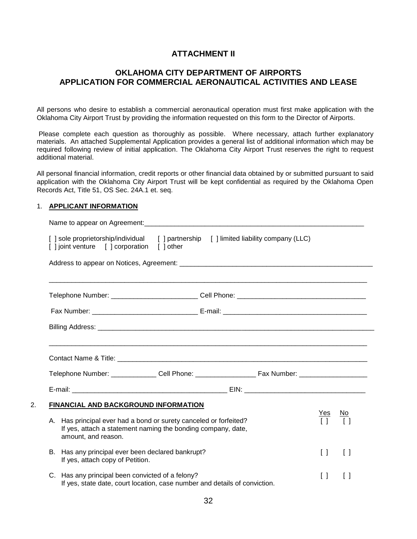#### **ATTACHMENT II**

#### **OKLAHOMA CITY DEPARTMENT OF AIRPORTS APPLICATION FOR COMMERCIAL AERONAUTICAL ACTIVITIES AND LEASE**

All persons who desire to establish a commercial aeronautical operation must first make application with the Oklahoma City Airport Trust by providing the information requested on this form to the Director of Airports.

Please complete each question as thoroughly as possible. Where necessary, attach further explanatory materials. An attached Supplemental Application provides a general list of additional information which may be required following review of initial application. The Oklahoma City Airport Trust reserves the right to request additional material.

All personal financial information, credit reports or other financial data obtained by or submitted pursuant to said application with the Oklahoma City Airport Trust will be kept confidential as required by the Oklahoma Open Records Act, Title 51, OS Sec. 24A.1 et. seq.

#### 1. **APPLICANT INFORMATION**

| [] sole proprietorship/individual<br>[ ] joint venture [ ] corporation | [ ] other                                                                                                                         | [ ] partnership [ ] limited liability company (LLC) |                                                                      |
|------------------------------------------------------------------------|-----------------------------------------------------------------------------------------------------------------------------------|-----------------------------------------------------|----------------------------------------------------------------------|
|                                                                        |                                                                                                                                   |                                                     |                                                                      |
|                                                                        |                                                                                                                                   |                                                     |                                                                      |
|                                                                        |                                                                                                                                   |                                                     |                                                                      |
|                                                                        |                                                                                                                                   |                                                     |                                                                      |
|                                                                        |                                                                                                                                   |                                                     |                                                                      |
|                                                                        | FINANCIAL AND BACKGROUND INFORMATION                                                                                              |                                                     |                                                                      |
| amount, and reason.                                                    | A. Has principal ever had a bond or surety canceled or forfeited?<br>If yes, attach a statement naming the bonding company, date, |                                                     | <u>Yes</u><br><u>No</u>                                              |
| If yes, attach copy of Petition.                                       | B. Has any principal ever been declared bankrupt?                                                                                 |                                                     | $\begin{bmatrix} 1 \end{bmatrix}$<br>$\begin{bmatrix} \end{bmatrix}$ |
|                                                                        |                                                                                                                                   |                                                     |                                                                      |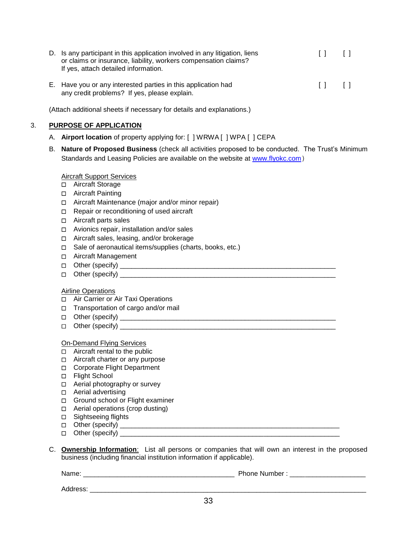| D. Is any participant in this application involved in any litigation, liens<br>or claims or insurance, liability, workers compensation claims?<br>If yes, attach detailed information. | $\Box$                                |  |
|----------------------------------------------------------------------------------------------------------------------------------------------------------------------------------------|---------------------------------------|--|
| E. Have you or any interested parties in this application had<br>any credit problems? If yes, please explain.                                                                          | $\begin{bmatrix} 1 & 1 \end{bmatrix}$ |  |

(Attach additional sheets if necessary for details and explanations.)

#### 3. **PURPOSE OF APPLICATION**

- A. **Airport location** of property applying for: [ ] WRWA [ ] WPA [ ] CEPA
- B. **Nature of Proposed Business** (check all activities proposed to be conducted. The Trust's Minimum Standards and Leasing Policies are available on the website at [www.flyokc.com](http://www.flyokc.com/))

#### Aircraft Support Services

- □ Aircraft Storage
- □ Aircraft Painting
- Aircraft Maintenance (major and/or minor repair)
- □ Repair or reconditioning of used aircraft
- □ Aircraft parts sales
- Avionics repair, installation and/or sales
- Aircraft sales, leasing, and/or brokerage
- Sale of aeronautical items/supplies (charts, books, etc.)
- □ Aircraft Management
- Other (specify) \_\_\_\_\_\_\_\_\_\_\_\_\_\_\_\_\_\_\_\_\_\_\_\_\_\_\_\_\_\_\_\_\_\_\_\_\_\_\_\_\_\_\_\_\_\_\_\_\_\_\_\_\_\_\_\_\_
- $\Box$  Other (specify)

#### Airline Operations

- Air Carrier or Air Taxi Operations
- $\Box$  Transportation of cargo and/or mail
- Other (specify) \_\_\_\_\_\_\_\_\_\_\_\_\_\_\_\_\_\_\_\_\_\_\_\_\_\_\_\_\_\_\_\_\_\_\_\_\_\_\_\_\_\_\_\_\_\_\_\_\_\_\_\_\_\_\_\_\_
- Other (specify) \_\_\_\_\_\_\_\_\_\_\_\_\_\_\_\_\_\_\_\_\_\_\_\_\_\_\_\_\_\_\_\_\_\_\_\_\_\_\_\_\_\_\_\_\_\_\_\_\_\_\_\_\_\_\_\_\_

#### On-Demand Flying Services

- □ Aircraft rental to the public
- □ Aircraft charter or any purpose
- Corporate Flight Department
- □ Flight School
- □ Aerial photography or survey
- □ Aerial advertising
- Ground school or Flight examiner
- □ Aerial operations (crop dusting)
- □ Sightseeing flights
- Other (specify) \_\_\_\_\_\_\_\_\_\_\_\_\_\_\_\_\_\_\_\_\_\_\_\_\_\_\_\_\_\_\_\_\_\_\_\_\_\_\_\_\_\_\_\_\_\_\_\_\_\_\_\_\_\_\_\_\_\_
- Other (specify) \_\_\_\_\_\_\_\_\_\_\_\_\_\_\_\_\_\_\_\_\_\_\_\_\_\_\_\_\_\_\_\_\_\_\_\_\_\_\_\_\_\_\_\_\_\_\_\_\_\_\_\_\_\_\_\_\_\_
- C. **Ownership Information**: List all persons or companies that will own an interest in the proposed business (including financial institution information if applicable).

Name: \_\_\_\_\_\_\_\_\_\_\_\_\_\_\_\_\_\_\_\_\_\_\_\_\_\_\_\_\_\_\_\_\_\_\_\_\_\_\_\_ Phone Number : \_\_\_\_\_\_\_\_\_\_\_\_\_\_\_\_\_\_\_\_

Address: \_\_\_\_\_\_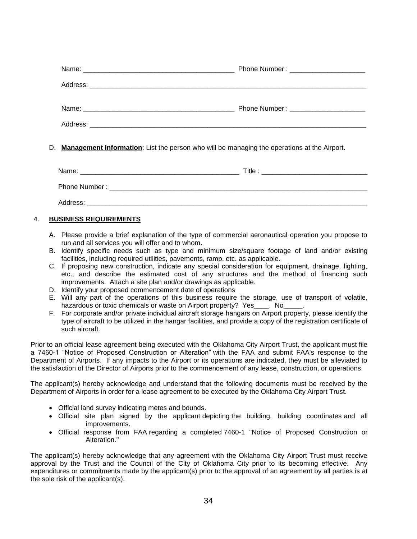| Phone Number: ________________________ |
|----------------------------------------|
|                                        |
|                                        |
|                                        |
|                                        |

#### D. **Management Information**: List the person who will be managing the operations at the Airport.

| Name:         | Title : |
|---------------|---------|
| Phone Number: |         |
| Address:      |         |

#### 4. **BUSINESS REQUIREMENTS**

- A. Please provide a brief explanation of the type of commercial aeronautical operation you propose to run and all services you will offer and to whom.
- B. Identify specific needs such as type and minimum size/square footage of land and/or existing facilities, including required utilities, pavements, ramp, etc. as applicable.
- C. If proposing new construction, indicate any special consideration for equipment, drainage, lighting, etc., and describe the estimated cost of any structures and the method of financing such improvements. Attach a site plan and/or drawings as applicable.
- D. Identify your proposed commencement date of operations
- E. Will any part of the operations of this business require the storage, use of transport of volatile, hazardous or toxic chemicals or waste on Airport property? Yes\_\_\_\_. No\_
- F. For corporate and/or private individual aircraft storage hangars on Airport property, please identify the type of aircraft to be utilized in the hangar facilities, and provide a copy of the registration certificate of such aircraft.

Prior to an official lease agreement being executed with the Oklahoma City Airport Trust, the applicant must file a 7460-1 "Notice of Proposed Construction or Alteration" with the FAA and submit FAA's response to the Department of Airports. If any impacts to the Airport or its operations are indicated, they must be alleviated to the satisfaction of the Director of Airports prior to the commencement of any lease, construction, or operations.

The applicant(s) hereby acknowledge and understand that the following documents must be received by the Department of Airports in order for a lease agreement to be executed by the Oklahoma City Airport Trust.

- Official land survey indicating metes and bounds.
- Official site plan signed by the applicant depicting the building, building coordinates and all improvements.
- Official response from FAA regarding a completed 7460-1 "Notice of Proposed Construction or Alteration."

The applicant(s) hereby acknowledge that any agreement with the Oklahoma City Airport Trust must receive approval by the Trust and the Council of the City of Oklahoma City prior to its becoming effective. Any expenditures or commitments made by the applicant(s) prior to the approval of an agreement by all parties is at the sole risk of the applicant(s).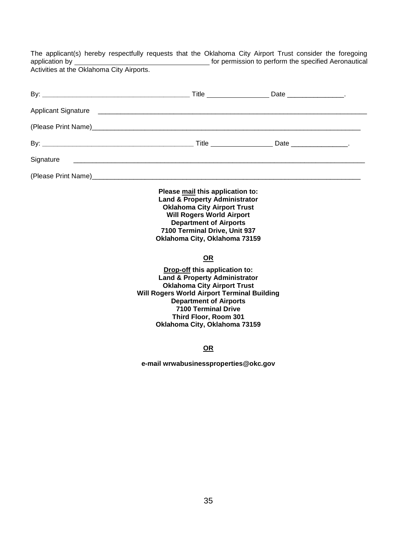The applicant(s) hereby respectfully requests that the Oklahoma City Airport Trust consider the foregoing application by <u>entitled and the specified Aeronautical</u> for permission to perform the specified Aeronautical

Activities at the Oklahoma City Airports.

| Signature |                                                                                                                                                                                                                                                                                                |  |
|-----------|------------------------------------------------------------------------------------------------------------------------------------------------------------------------------------------------------------------------------------------------------------------------------------------------|--|
|           |                                                                                                                                                                                                                                                                                                |  |
|           | Please mail this application to:<br><b>Land &amp; Property Administrator</b><br><b>Oklahoma City Airport Trust</b><br><b>Will Rogers World Airport</b><br><b>Department of Airports</b><br>7100 Terminal Drive, Unit 937<br>Oklahoma City, Oklahoma 73159                                      |  |
|           | <u>OR</u>                                                                                                                                                                                                                                                                                      |  |
|           | Drop-off this application to:<br><b>Land &amp; Property Administrator</b><br><b>Oklahoma City Airport Trust</b><br><b>Will Rogers World Airport Terminal Building</b><br><b>Department of Airports</b><br><b>7100 Terminal Drive</b><br>Third Floor, Room 301<br>Oklahoma City, Oklahoma 73159 |  |
|           | <u>OR</u>                                                                                                                                                                                                                                                                                      |  |
|           | e-mail wrwabusinessproperties@okc.gov                                                                                                                                                                                                                                                          |  |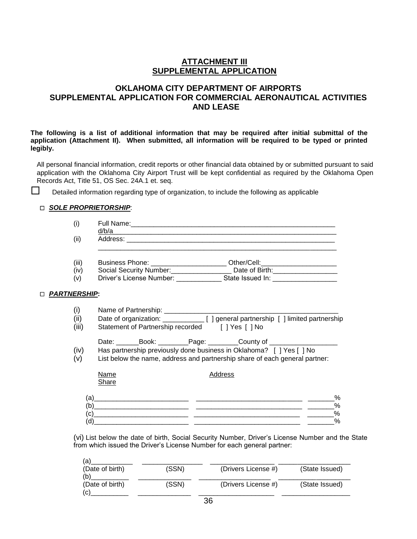#### **ATTACHMENT III SUPPLEMENTAL APPLICATION**

#### **OKLAHOMA CITY DEPARTMENT OF AIRPORTS SUPPLEMENTAL APPLICATION FOR COMMERCIAL AERONAUTICAL ACTIVITIES AND LEASE**

**The following is a list of additional information that may be required after initial submittal of the application (Attachment II). When submitted, all information will be required to be typed or printed legibly.**

All personal financial information, credit reports or other financial data obtained by or submitted pursuant to said application with the Oklahoma City Airport Trust will be kept confidential as required by the Oklahoma Open Records Act, Title 51, OS Sec. 24A.1 et. seq.

 $\square$  Detailed information regarding type of organization, to include the following as applicable

#### *SOLE PROPRIETORSHIP*:

| (i)                      | <u>d/b/a and a set of the set of the set of the set of the set of the set of the set of the set of the set of the set of the set of the set of the set of the set of the set of the set of the set of the set of the set of the </u>                                      |
|--------------------------|---------------------------------------------------------------------------------------------------------------------------------------------------------------------------------------------------------------------------------------------------------------------------|
| (ii)                     |                                                                                                                                                                                                                                                                           |
| (iii)<br>(iv)<br>(v)     | Business Phone: _______________________ Other/Cell:_______________________<br>Social Security Number: ___________________ Date of Birth: _____________________<br>Driver's License Number: _______________________State Issued In: ________________                       |
| <b>PARTNERSHIP:</b>      |                                                                                                                                                                                                                                                                           |
| (i)<br>(ii)<br>(iii)     | Date of organization: ______________ [ ] general partnership [ ] limited partnership<br>Statement of Partnership recorded [] Yes [] No                                                                                                                                    |
| (iv)<br>(v)              | Date: ________Book: __________Page: __________County of ________________________<br>Has partnership previously done business in Oklahoma? [ ] Yes [ ] No<br>List below the name, address and partnership share of each general partner:                                   |
|                          | Name<br>Address<br><b>Share</b>                                                                                                                                                                                                                                           |
| (a)<br>(b)<br>(c)<br>(d) | %<br>%<br><u> 1999 - Jan James James, personal altres estableces estableces (controlled altres estableces estableces establ</u><br>$\sim$ %<br><u> 1989 - Johann Harry Harry Harry Harry Harry Harry Harry Harry Harry Harry Harry Harry Harry Harry Harry Harry</u><br>% |

(vi) List below the date of birth, Social Security Number, Driver's License Number and the State from which issued the Driver's License Number for each general partner:

| 'a)<br>(Date of birth)<br>'b) | (SSN) | (Drivers License #) | (State Issued) |
|-------------------------------|-------|---------------------|----------------|
| (Date of birth)<br>C)         | (SSN) | (Drivers License #) | (State Issued) |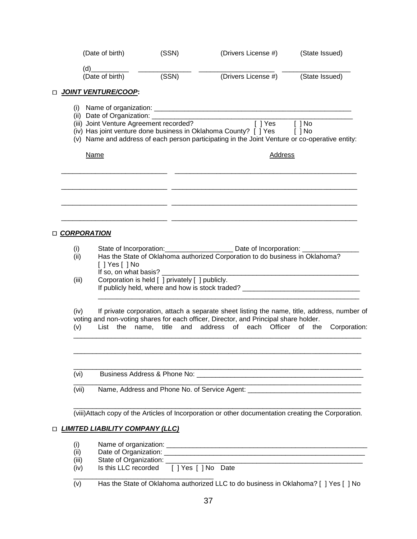|   | (Date of birth)                         | (SSN)                                           | (Drivers License #)                                                                                                                                                | (State Issued) |
|---|-----------------------------------------|-------------------------------------------------|--------------------------------------------------------------------------------------------------------------------------------------------------------------------|----------------|
|   | (d)                                     |                                                 |                                                                                                                                                                    |                |
|   | (Date of birth)                         | (SSN)                                           | (Drivers License #)                                                                                                                                                | (State Issued) |
|   | <b>D</b> JOINT VENTURE/COOP:            |                                                 |                                                                                                                                                                    |                |
|   |                                         |                                                 |                                                                                                                                                                    |                |
|   | (i)                                     |                                                 |                                                                                                                                                                    |                |
|   | (iii) Joint Venture Agreement recorded? |                                                 | $\boxed{\phantom{a}}$ Yes                                                                                                                                          | $[ ]$ No       |
|   |                                         |                                                 | (iv) Has joint venture done business in Oklahoma County? [ ] Yes<br>(v) Name and address of each person participating in the Joint Venture or co-operative entity: | $[ ]$ No       |
|   |                                         |                                                 |                                                                                                                                                                    |                |
|   | <b>Name</b>                             |                                                 | Address                                                                                                                                                            |                |
|   |                                         |                                                 |                                                                                                                                                                    |                |
|   |                                         |                                                 |                                                                                                                                                                    |                |
|   |                                         |                                                 |                                                                                                                                                                    |                |
|   |                                         |                                                 |                                                                                                                                                                    |                |
|   | <u>D CORPORATION</u>                    |                                                 |                                                                                                                                                                    |                |
|   | (i)                                     |                                                 | State of Incorporation: _______________________ Date of Incorporation: _________                                                                                   |                |
|   | (ii)<br>$[$ ] Yes $[$ ] No              |                                                 | Has the State of Oklahoma authorized Corporation to do business in Oklahoma?                                                                                       |                |
|   | If so, on what basis?                   |                                                 | <u> 1980 - John Stein, mars and de Britain and de Britain and de Britain and de Britain and de Britain and de Br</u>                                               |                |
|   | (iii)                                   | Corporation is held [ ] privately [ ] publicly. |                                                                                                                                                                    |                |
|   |                                         |                                                 | If publicly held, where and how is stock traded? _______________________________                                                                                   |                |
|   | (iv)                                    |                                                 | If private corporation, attach a separate sheet listing the name, title, address, number of                                                                        |                |
|   | List the<br>(v)                         | name,                                           | voting and non-voting shares for each officer, Director, and Principal share holder.<br>title and address of each Officer of the                                   | Corporation:   |
|   |                                         |                                                 |                                                                                                                                                                    |                |
|   |                                         |                                                 |                                                                                                                                                                    |                |
|   | (vi)                                    |                                                 |                                                                                                                                                                    |                |
|   | (vii)                                   |                                                 | Name, Address and Phone No. of Service Agent: __________________________________                                                                                   |                |
|   |                                         |                                                 | (viii)Attach copy of the Articles of Incorporation or other documentation creating the Corporation.                                                                |                |
| □ | <b>LIMITED LIABILITY COMPANY (LLC)</b>  |                                                 |                                                                                                                                                                    |                |
|   | (i)                                     |                                                 |                                                                                                                                                                    |                |
|   | (ii)                                    |                                                 |                                                                                                                                                                    |                |
|   | (iii)                                   |                                                 |                                                                                                                                                                    |                |
|   | (iv)                                    | Is this LLC recorded [ ] Yes [ ] No Date        |                                                                                                                                                                    |                |
|   | (v)                                     |                                                 | Has the State of Oklahoma authorized LLC to do business in Oklahoma? [ ] Yes [ ] No                                                                                |                |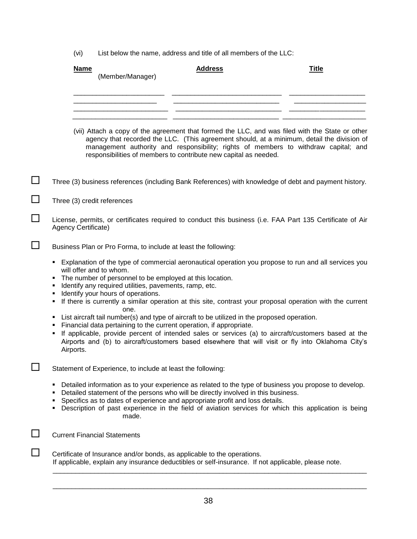(vi) List below the name, address and title of all members of the LLC:

|        | <b>Name</b><br><b>Address</b><br><b>Title</b><br>(Member/Manager)                                                                                                                                                                                                                                                                                                                                                          |
|--------|----------------------------------------------------------------------------------------------------------------------------------------------------------------------------------------------------------------------------------------------------------------------------------------------------------------------------------------------------------------------------------------------------------------------------|
|        |                                                                                                                                                                                                                                                                                                                                                                                                                            |
|        | (vii) Attach a copy of the agreement that formed the LLC, and was filed with the State or other<br>agency that recorded the LLC. (This agreement should, at a minimum, detail the division of<br>management authority and responsibility; rights of members to withdraw capital; and<br>responsibilities of members to contribute new capital as needed.                                                                   |
| $\Box$ | Three (3) business references (including Bank References) with knowledge of debt and payment history.                                                                                                                                                                                                                                                                                                                      |
|        | Three (3) credit references                                                                                                                                                                                                                                                                                                                                                                                                |
| □      | License, permits, or certificates required to conduct this business (i.e. FAA Part 135 Certificate of Air<br>Agency Certificate)                                                                                                                                                                                                                                                                                           |
|        | Business Plan or Pro Forma, to include at least the following:                                                                                                                                                                                                                                                                                                                                                             |
|        | Explanation of the type of commercial aeronautical operation you propose to run and all services you<br>will offer and to whom.<br>The number of personnel to be employed at this location.<br>Identify any required utilities, pavements, ramp, etc.<br>Identify your hours of operations.<br>٠<br>If there is currently a similar operation at this site, contrast your proposal operation with the current<br>٠<br>one. |
|        | List aircraft tail number(s) and type of aircraft to be utilized in the proposed operation.<br>Financial data pertaining to the current operation, if appropriate.<br>٠<br>If applicable, provide percent of intended sales or services (a) to aircraft/customers based at the<br>Airports and (b) to aircraft/customers based elsewhere that will visit or fly into Oklahoma City's<br>Airports.                          |
|        | Statement of Experience, to include at least the following:                                                                                                                                                                                                                                                                                                                                                                |
|        | Detailed information as to your experience as related to the type of business you propose to develop.<br>Detailed statement of the persons who will be directly involved in this business.<br>Specifics as to dates of experience and appropriate profit and loss details.<br>Description of past experience in the field of aviation services for which this application is being<br>made.                                |
|        | <b>Current Financial Statements</b>                                                                                                                                                                                                                                                                                                                                                                                        |
|        | Certificate of Insurance and/or bonds, as applicable to the operations.<br>If applicable, explain any insurance deductibles or self-insurance. If not applicable, please note.                                                                                                                                                                                                                                             |

\_\_\_\_\_\_\_\_\_\_\_\_\_\_\_\_\_\_\_\_\_\_\_\_\_\_\_\_\_\_\_\_\_\_\_\_\_\_\_\_\_\_\_\_\_\_\_\_\_\_\_\_\_\_\_\_\_\_\_\_\_\_\_\_\_\_\_\_\_\_\_\_\_\_\_\_\_\_\_\_\_\_\_